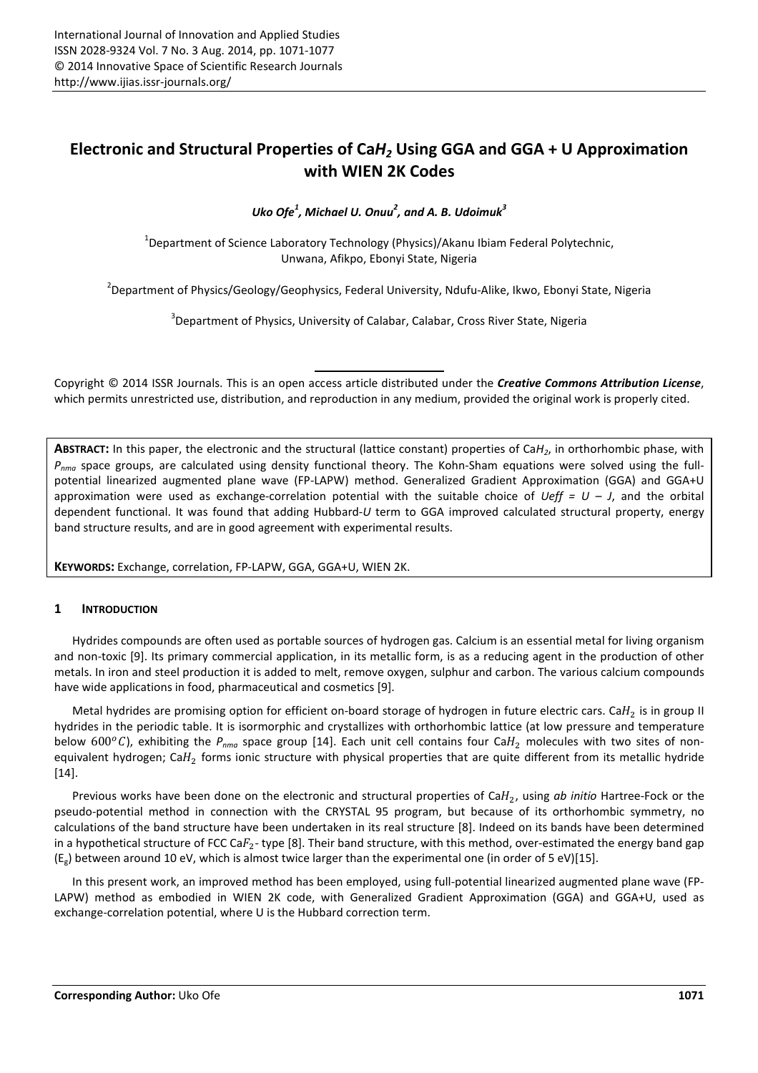# **Electronic and Structural Properties of Ca***H2* **Using GGA and GGA + U Approximation with WIEN 2K Codes**

*Uko Ofe<sup>1</sup> , Michael U. Onuu<sup>2</sup> , and A. B. Udoimuk<sup>3</sup>*

<sup>1</sup>Department of Science Laboratory Technology (Physics)/Akanu Ibiam Federal Polytechnic, Unwana, Afikpo, Ebonyi State, Nigeria

<sup>2</sup>Department of Physics/Geology/Geophysics, Federal University, Ndufu-Alike, Ikwo, Ebonyi State, Nigeria

 $3$ Department of Physics, University of Calabar, Calabar, Cross River State, Nigeria

Copyright © 2014 ISSR Journals. This is an open access article distributed under the *Creative Commons Attribution License*, which permits unrestricted use, distribution, and reproduction in any medium, provided the original work is properly cited.

**ABSTRACT:** In this paper, the electronic and the structural (lattice constant) properties of Ca*H2*, in orthorhombic phase, with *Pnma* space groups, are calculated using density functional theory. The Kohn-Sham equations were solved using the fullpotential linearized augmented plane wave (FP-LAPW) method. Generalized Gradient Approximation (GGA) and GGA+U approximation were used as exchange-correlation potential with the suitable choice of *Ueff = U – J*, and the orbital dependent functional. It was found that adding Hubbard-*U* term to GGA improved calculated structural property, energy band structure results, and are in good agreement with experimental results.

**KEYWORDS:** Exchange, correlation, FP-LAPW, GGA, GGA+U, WIEN 2K.

## **1 INTRODUCTION**

Hydrides compounds are often used as portable sources of hydrogen gas. Calcium is an essential metal for living organism and non-toxic [9]. Its primary commercial application, in its metallic form, is as a reducing agent in the production of other metals. In iron and steel production it is added to melt, remove oxygen, sulphur and carbon. The various calcium compounds have wide applications in food, pharmaceutical and cosmetics [9].

Metal hydrides are promising option for efficient on-board storage of hydrogen in future electric cars. Ca $H_2$  is in group II hydrides in the periodic table. It is isormorphic and crystallizes with orthorhombic lattice (at low pressure and temperature below 600°C), exhibiting the  $P_{nma}$  space group [14]. Each unit cell contains four Ca $H_2$  molecules with two sites of nonequivalent hydrogen; Ca $H_2$  forms ionic structure with physical properties that are quite different from its metallic hydride [14].

Previous works have been done on the electronic and structural properties of  $CaH_2$ , using ab initio Hartree-Fock or the pseudo-potential method in connection with the CRYSTAL 95 program, but because of its orthorhombic symmetry, no calculations of the band structure have been undertaken in its real structure [8]. Indeed on its bands have been determined in a hypothetical structure of FCC Ca $F_2$ -type [8]. Their band structure, with this method, over-estimated the energy band gap  $(E_{g})$  between around 10 eV, which is almost twice larger than the experimental one (in order of 5 eV)[15].

In this present work, an improved method has been employed, using full-potential linearized augmented plane wave (FP-LAPW) method as embodied in WIEN 2K code, with Generalized Gradient Approximation (GGA) and GGA+U, used as exchange-correlation potential, where U is the Hubbard correction term.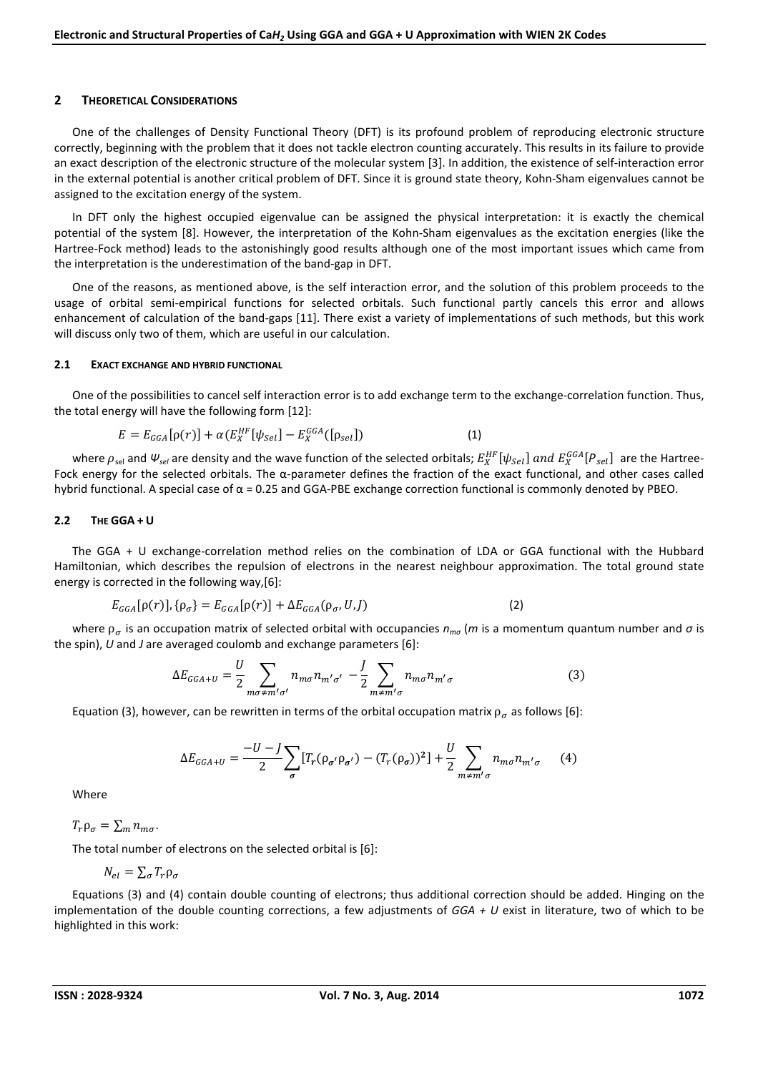#### **2 THEORETICAL CONSIDERATIONS**

One of the challenges of Density Functional Theory (DFT) is its profound problem of reproducing electronic structure correctly, beginning with the problem that it does not tackle electron counting accurately. This results in its failure to provide an exact description of the electronic structure of the molecular system [3]. In addition, the existence of self-interaction error in the external potential is another critical problem of DFT. Since it is ground state theory, Kohn-Sham eigenvalues cannot be assigned to the excitation energy of the system.

In DFT only the highest occupied eigenvalue can be assigned the physical interpretation: it is exactly the chemical potential of the system [8]. However, the interpretation of the Kohn-Sham eigenvalues as the excitation energies (like the Hartree-Fock method) leads to the astonishingly good results although one of the most important issues which came from the interpretation is the underestimation of the band-gap in DFT.

One of the reasons, as mentioned above, is the self interaction error, and the solution of this problem proceeds to the usage of orbital semi-empirical functions for selected orbitals. Such functional partly cancels this error and allows enhancement of calculation of the band-gaps [11]. There exist a variety of implementations of such methods, but this work will discuss only two of them, which are useful in our calculation.

#### **2.1 EXACT EXCHANGE AND HYBRID FUNCTIONAL**

One of the possibilities to cancel self interaction error is to add exchange term to the exchange-correlation function. Thus, the total energy will have the following form [12]:

$$
E = E_{GGA}[\rho(r)] + \alpha (E_X^{HF}[\psi_{Sel}] - E_X^{GGA}([\rho_{sel}])
$$
\n(1)

where  $\rho_{sel}$  and  $\psi_{sel}$  are density and the wave function of the selected orbitals;  $E_X^{HF}[\psi_{Sel}]$  and  $E_X^{GGA}[P_{sel}]$  are the Hartree-Fock energy for the selected orbitals. The  $\alpha$ -parameter defines the fraction of the exact functional, and other cases called hybrid functional. A special case of α = 0.25 and GGA-PBE exchange correction functional is commonly denoted by PBEO.

#### **2.2 THE GGA + U**

The GGA + U exchange-correlation method relies on the combination of LDA or GGA functional with the Hubbard Hamiltonian, which describes the repulsion of electrons in the nearest neighbour approximation. The total ground state energy is corrected in the following way,[6]:

$$
E_{GGA}[\rho(r)], \{\rho_{\sigma}\} = E_{GGA}[\rho(r)] + \Delta E_{GGA}(\rho_{\sigma}, U, J)
$$
\n(2)

where  $\rho_{\sigma}$  is an occupation matrix of selected orbital with occupancies  $n_{m\sigma}$  (*m* is a momentum quantum number and  $\sigma$  is the spin), *U* and *J* are averaged coulomb and exchange parameters [6]:

$$
\Delta E_{GGA+U} = \frac{U}{2} \sum_{m\sigma \neq m'\sigma'} n_{m\sigma} n_{m'\sigma'} - \frac{I}{2} \sum_{m \neq m'\sigma} n_{m\sigma} n_{m'\sigma}
$$
(3)

Equation (3), however, can be rewritten in terms of the orbital occupation matrix  $\rho_{\sigma}$  as follows [6]:

$$
\Delta E_{GGA+U} = \frac{-U - J}{2} \sum_{\sigma} \left[ T_r (\rho_{\sigma'} \rho_{\sigma'}) - (T_r (\rho_{\sigma}))^2 \right] + \frac{U}{2} \sum_{m \neq m'} n_{m\sigma} n_{m'\sigma} \tag{4}
$$

Where

 $T_r \rho_\sigma = \sum_m n_{m\sigma}$ .

The total number of electrons on the selected orbital is [6]:

$$
N_{el} = \sum_{\sigma} T_r \rho_{\sigma}
$$

Equations (3) and (4) contain double counting of electrons; thus additional correction should be added. Hinging on the implementation of the double counting corrections, a few adjustments of *GGA + U* exist in literature, two of which to be highlighted in this work: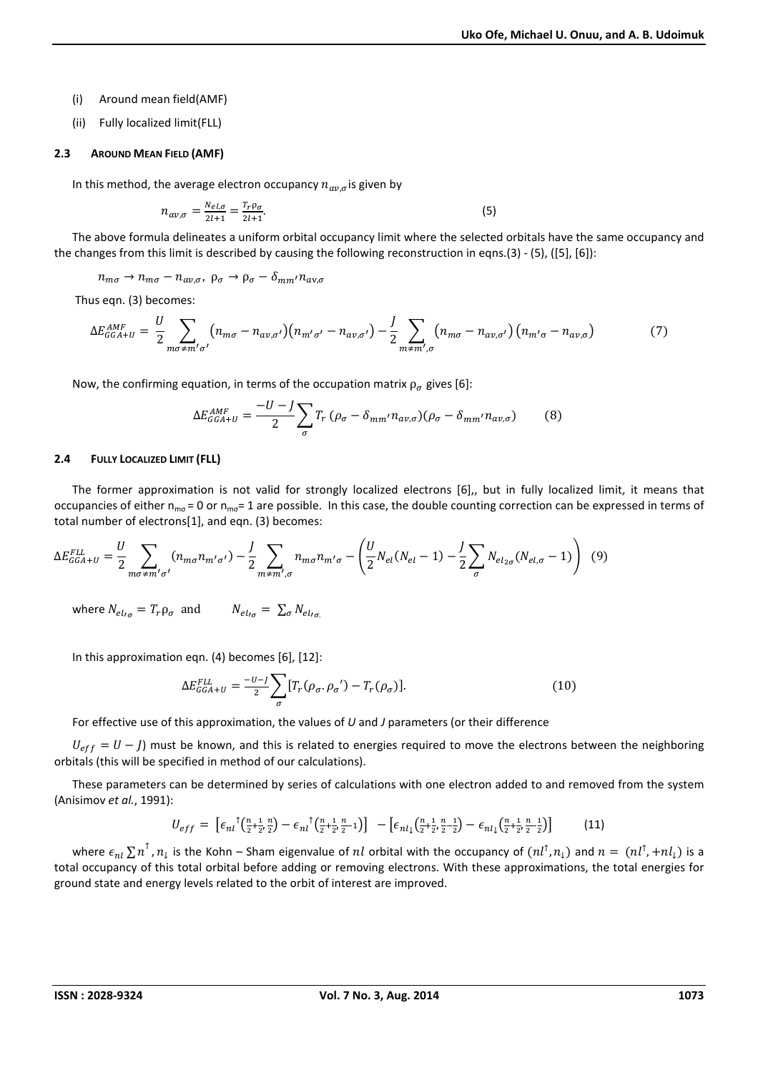(i) Around mean field(AMF)

(ii) Fully localized limit(FLL)

#### **2.3 AROUND MEAN FIELD (AMF)**

In this method, the average electron occupancy  $n_{av,\sigma}$  is given by

$$
n_{av,\sigma} = \frac{N_{el,\sigma}}{2l+1} = \frac{T_r \rho_\sigma}{2l+1}.
$$
\n<sup>(5)</sup>

The above formula delineates a uniform orbital occupancy limit where the selected orbitals have the same occupancy and the changes from this limit is described by causing the following reconstruction in eqns.(3) - (5), ([5], [6]):

 $n_{m\sigma} \rightarrow n_{m\sigma} - n_{a\nu,\sigma}$ ,  $\rho_{\sigma} \rightarrow \rho_{\sigma} - \delta_{mm'} n_{a\nu,\sigma}$ 

Thus eqn. (3) becomes:

$$
\Delta E_{GGA+U}^{AMF} = \frac{U}{2} \sum_{m\sigma \neq m'\sigma'} \left( n_{m\sigma} - n_{a\nu,\sigma'} \right) \left( n_{m'\sigma'} - n_{a\nu,\sigma'} \right) - \frac{J}{2} \sum_{m \neq m'\sigma'} \left( n_{m\sigma} - n_{a\nu,\sigma'} \right) \left( n_{m'\sigma} - n_{a\nu,\sigma} \right) \tag{7}
$$

Now, the confirming equation, in terms of the occupation matrix  $\rho_{\sigma}$  gives [6]:

$$
\Delta E_{GGA+U}^{AMF} = \frac{-U - J}{2} \sum_{\sigma} T_r \left( \rho_{\sigma} - \delta_{mm'} n_{av,\sigma} \right) \left( \rho_{\sigma} - \delta_{mm'} n_{av,\sigma} \right) \tag{8}
$$

#### **2.4 FULLY LOCALIZED LIMIT (FLL)**

The former approximation is not valid for strongly localized electrons [6],, but in fully localized limit, it means that occupancies of either  $n_{mg} = 0$  or  $n_{mg} = 1$  are possible. In this case, the double counting correction can be expressed in terms of total number of electrons[1], and eqn. (3) becomes:

$$
\Delta E_{GGA+U}^{FLL} = \frac{U}{2} \sum_{m\sigma \neq m'\sigma'} (n_{m\sigma} n_{m'\sigma'}) - \frac{I}{2} \sum_{m \neq m',\sigma} n_{m\sigma} n_{m'\sigma} - \left(\frac{U}{2} N_{el}(N_{el}-1) - \frac{I}{2} \sum_{\sigma} N_{el_{2\sigma}} (N_{el,\sigma}-1)\right) (9)
$$

where  $N_{el_{I_{\sigma}}} = T_r \rho_{\sigma}$  and  $N_{el_{I_{\sigma}}} = \sum_{\sigma} N_{el_{I_{\sigma}}}$ 

In this approximation eqn. (4) becomes [6], [12]:

$$
\Delta E_{GGA+U}^{FLL} = \frac{-U - J}{2} \sum_{\sigma} [T_r(\rho_\sigma, \rho_\sigma') - T_r(\rho_\sigma)]. \tag{10}
$$

For effective use of this approximation, the values of *U* and *J* parameters (or their difference

 $U_{eff} = U - J$ ) must be known, and this is related to energies required to move the electrons between the neighboring orbitals (this will be specified in method of our calculations).

These parameters can be determined by series of calculations with one electron added to and removed from the system (Anisimov *et al.*, 1991):

$$
U_{eff} = \left[ \epsilon_{nl} \left( \frac{n+1}{2} \frac{n}{2}, \frac{n}{2} \right) - \epsilon_{nl} \left( \frac{n+1}{2} \frac{n}{2}, \frac{n}{2} - 1 \right) \right] - \left[ \epsilon_{nl} \left( \frac{n+1}{2} \frac{n}{2}, \frac{n}{2} - \frac{1}{2} \right) - \epsilon_{nl} \left( \frac{n+1}{2} \frac{n}{2}, \frac{n}{2} - \frac{1}{2} \right) \right] \tag{11}
$$

where  $\epsilon_{nl}\sum n^{\top}$ ,  $n_l$  is the Kohn – Sham eigenvalue of  $nl$  orbital with the occupancy of  $(nl^{\uparrow},n_l)$  and  $n=(nl^{\uparrow},+nl_l)$  is a total occupancy of this total orbital before adding or removing electrons. With these approximations, the total energies for ground state and energy levels related to the orbit of interest are improved.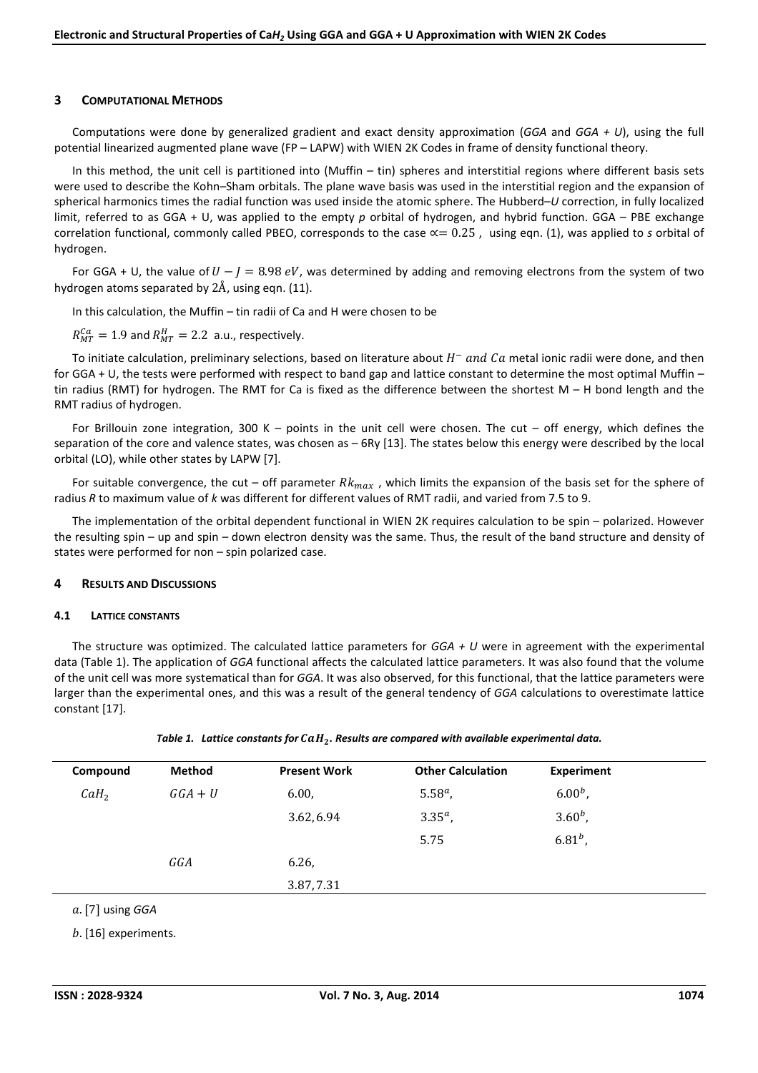## **3 COMPUTATIONAL METHODS**

Computations were done by generalized gradient and exact density approximation (*GGA* and *GGA + U*), using the full potential linearized augmented plane wave (FP – LAPW) with WIEN 2K Codes in frame of density functional theory.

In this method, the unit cell is partitioned into (Muffin – tin) spheres and interstitial regions where different basis sets were used to describe the Kohn–Sham orbitals. The plane wave basis was used in the interstitial region and the expansion of spherical harmonics times the radial function was used inside the atomic sphere. The Hubberd–*U* correction, in fully localized limit, referred to as GGA + U, was applied to the empty *p* orbital of hydrogen, and hybrid function. GGA – PBE exchange correlation functional, commonly called PBEO, corresponds to the case  $\alpha = 0.25$ , using eqn. (1), was applied to *s* orbital of hydrogen.

For GGA + U, the value of  $U - J = 8.98$  eV, was determined by adding and removing electrons from the system of two hydrogen atoms separated by  $2\text{\AA}$ , using eqn. (11).

In this calculation, the Muffin – tin radii of Ca and H were chosen to be

 $R_{MT}^{Ca} = 1.9$  and  $R_{MT}^{H} = 2.2$  a.u., respectively.

To initiate calculation, preliminary selections, based on literature about  $H^-$  and  ${\it Ca}$  metal ionic radii were done, and then for GGA + U, the tests were performed with respect to band gap and lattice constant to determine the most optimal Muffin – tin radius (RMT) for hydrogen. The RMT for Ca is fixed as the difference between the shortest  $M - H$  bond length and the RMT radius of hydrogen.

For Brillouin zone integration, 300 K – points in the unit cell were chosen. The cut – off energy, which defines the separation of the core and valence states, was chosen as  $-$  6Ry [13]. The states below this energy were described by the local orbital (LO), while other states by LAPW [7].

For suitable convergence, the cut – off parameter  $Rk_{max}$ , which limits the expansion of the basis set for the sphere of radius *R* to maximum value of *k* was different for different values of RMT radii, and varied from 7.5 to 9.

The implementation of the orbital dependent functional in WIEN 2K requires calculation to be spin – polarized. However the resulting spin – up and spin – down electron density was the same. Thus, the result of the band structure and density of states were performed for non – spin polarized case.

## **4 RESULTS AND DISCUSSIONS**

#### **4.1 LATTICE CONSTANTS**

The structure was optimized. The calculated lattice parameters for *GGA + U* were in agreement with the experimental data (Table 1). The application of *GGA* functional affects the calculated lattice parameters. It was also found that the volume of the unit cell was more systematical than for *GGA*. It was also observed, for this functional, that the lattice parameters were larger than the experimental ones, and this was a result of the general tendency of *GGA* calculations to overestimate lattice constant [17].

| Table 1. Lattice constants for $caH2$ . Results are compared with available experimental data. |  |  |
|------------------------------------------------------------------------------------------------|--|--|
|------------------------------------------------------------------------------------------------|--|--|

| Compound         | <b>Method</b> | <b>Present Work</b> | <b>Other Calculation</b> | <b>Experiment</b> |  |
|------------------|---------------|---------------------|--------------------------|-------------------|--|
| CaH <sub>2</sub> | $GGA + U$     | 6.00,               | $5.58^a$ ,               | $6.00^{b}$ ,      |  |
|                  |               | 3.62, 6.94          | $3.35^{a}$ ,             | $3.60^b$ ,        |  |
|                  |               |                     | 5.75                     | $6.81^{b}$ ,      |  |
|                  | GGA           | 6.26,               |                          |                   |  |
|                  |               | 3.87, 7.31          |                          |                   |  |
|                  |               |                     |                          |                   |  |

a. [7] using GGA

 $b.$  [16] experiments.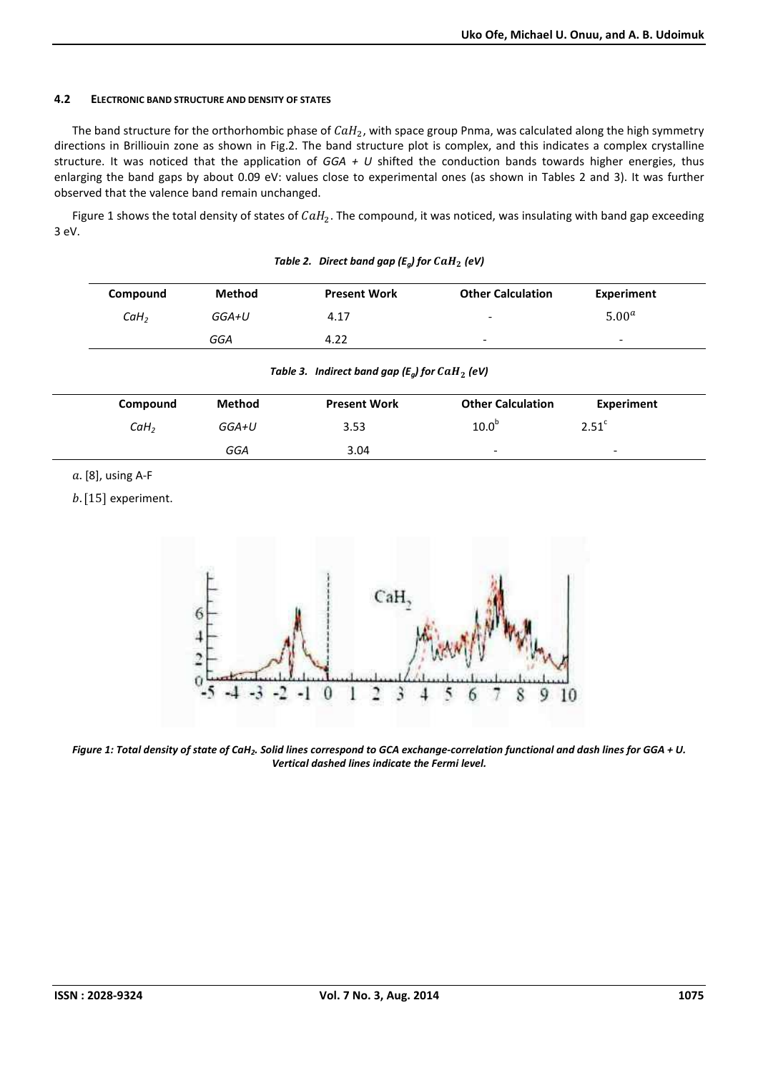## **4.2 ELECTRONIC BAND STRUCTURE AND DENSITY OF STATES**

The band structure for the orthorhombic phase of  $\textit{CaH}_2$ , with space group Pnma, was calculated along the high symmetry directions in Brilliouin zone as shown in Fig.2. The band structure plot is complex, and this indicates a complex crystalline structure. It was noticed that the application of *GGA + U* shifted the conduction bands towards higher energies, thus enlarging the band gaps by about 0.09 eV: values close to experimental ones (as shown in Tables 2 and 3). It was further observed that the valence band remain unchanged.

Figure 1 shows the total density of states of  $CaH_2$ . The compound, it was noticed, was insulating with band gap exceeding 3 eV.

| Compound         | <b>Method</b> | <b>Present Work</b> | <b>Other Calculation</b> | Experiment               |  |
|------------------|---------------|---------------------|--------------------------|--------------------------|--|
| CaH <sub>2</sub> | GGA+U         | 4.17                | $\overline{\phantom{a}}$ | 5.00 <sup>a</sup>        |  |
|                  | GGA           | 4.22                | $\overline{\phantom{0}}$ | $\overline{\phantom{0}}$ |  |

*Table 2. Direct band gap (* $E_q$ *) for*  $CaH_2$  *(eV)* 

|  |  | Table 3. Indirect band gap ( $E_q$ ) for CaH <sub>2</sub> (eV) |
|--|--|----------------------------------------------------------------|
|--|--|----------------------------------------------------------------|

| Compound         | Method | <b>Present Work</b> | <b>Other Calculation</b> | Experiment               |  |
|------------------|--------|---------------------|--------------------------|--------------------------|--|
| CaH <sub>2</sub> | GGA+U  | 3.53                | 10.0 <sup>b</sup>        | 2.51 <sup>c</sup>        |  |
|                  | GGA    | 3.04                | $\overline{\phantom{a}}$ | $\overline{\phantom{0}}$ |  |

 $a.$  [8], using A-F

 $b.$  [15] experiment.



*Figure 1: Total density of state of CaH<sup>2</sup> . Solid lines correspond to GCA exchange-correlation functional and dash lines for GGA + U. Vertical dashed lines indicate the Fermi level.*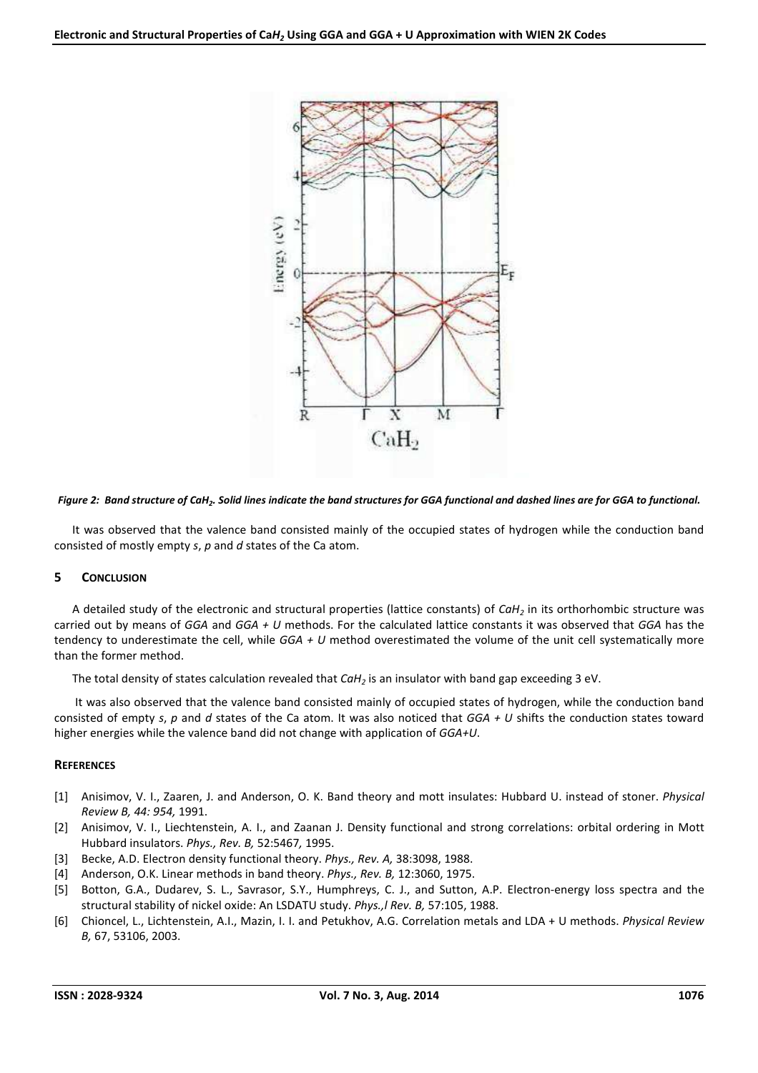

## *Figure 2: Band structure of CaH<sup>2</sup> . Solid lines indicate the band structures for GGA functional and dashed lines are for GGA to functional.*

It was observed that the valence band consisted mainly of the occupied states of hydrogen while the conduction band consisted of mostly empty *s*, *p* and *d* states of the Ca atom.

## **5 CONCLUSION**

A detailed study of the electronic and structural properties (lattice constants) of *CaH2* in its orthorhombic structure was carried out by means of *GGA* and *GGA + U* methods. For the calculated lattice constants it was observed that *GGA* has the tendency to underestimate the cell, while *GGA + U* method overestimated the volume of the unit cell systematically more than the former method.

The total density of states calculation revealed that *CaH2* is an insulator with band gap exceeding 3 eV.

 It was also observed that the valence band consisted mainly of occupied states of hydrogen, while the conduction band consisted of empty *s*, *p* and *d* states of the Ca atom. It was also noticed that *GGA + U* shifts the conduction states toward higher energies while the valence band did not change with application of *GGA+U*.

#### **REFERENCES**

- [1] Anisimov, V. I., Zaaren, J. and Anderson, O. K. Band theory and mott insulates: Hubbard U. instead of stoner. *Physical Review B, 44: 954,* 1991.
- [2] Anisimov, V. I., Liechtenstein, A. I., and Zaanan J. Density functional and strong correlations: orbital ordering in Mott Hubbard insulators. *Phys., Rev. B,* 52:5467*,* 1995.
- [3] Becke, A.D. Electron density functional theory. *Phys., Rev. A,* 38:3098, 1988.
- [4] Anderson, O.K. Linear methods in band theory. *Phys., Rev. B,* 12:3060, 1975.
- [5] Botton, G.A., Dudarev, S. L., Savrasor, S.Y., Humphreys, C. J., and Sutton, A.P. Electron-energy loss spectra and the structural stability of nickel oxide: An LSDATU study. *Phys.,l Rev. B,* 57:105, 1988.
- [6] Chioncel, L., Lichtenstein, A.I., Mazin, I. I. and Petukhov, A.G. Correlation metals and LDA + U methods. *Physical Review B,* 67, 53106, 2003.